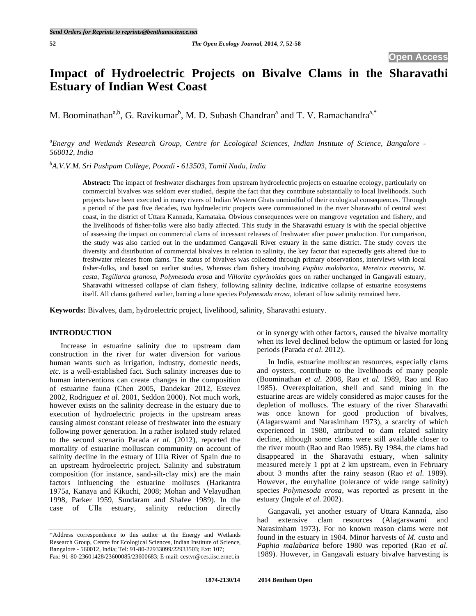# **Impact of Hydroelectric Projects on Bivalve Clams in the Sharavathi Estuary of Indian West Coast**

M. Boominathan<sup>a,b</sup>, G. Ravikumar<sup>b</sup>, M. D. Subash Chandran<sup>a</sup> and T. V. Ramachandra<sup>a,\*</sup>

*a Energy and Wetlands Research Group, Centre for Ecological Sciences, Indian Institute of Science, Bangalore - 560012, India* 

*b A.V.V.M. Sri Pushpam College, Poondi - 613503, Tamil Nadu, India* 

**Abstract:** The impact of freshwater discharges from upstream hydroelectric projects on estuarine ecology, particularly on commercial bivalves was seldom ever studied, despite the fact that they contribute substantially to local livelihoods. Such projects have been executed in many rivers of Indian Western Ghats unmindful of their ecological consequences. Through a period of the past five decades, two hydroelectric projects were commissioned in the river Sharavathi of central west coast, in the district of Uttara Kannada, Karnataka. Obvious consequences were on mangrove vegetation and fishery, and the livelihoods of fisher-folks were also badly affected. This study in the Sharavathi estuary is with the special objective of assessing the impact on commercial clams of incessant releases of freshwater after power production. For comparison, the study was also carried out in the undammed Gangavali River estuary in the same district. The study covers the diversity and distribution of commercial bivalves in relation to salinity, the key factor that expectedly gets altered due to freshwater releases from dams. The status of bivalves was collected through primary observations, interviews with local fisher-folks, and based on earlier studies. Whereas clam fishery involving *Paphia malabarica*, *Meretrix meretrix*, *M. casta*, *Tegillarca granosa*, *Polymesoda erosa* and *Villorita cyprinoides* goes on rather unchanged in Gangavali estuary, Sharavathi witnessed collapse of clam fishery, following salinity decline, indicative collapse of estuarine ecosystems itself. All clams gathered earlier, barring a lone species *Polymesoda erosa,* tolerant of low salinity remained here.

**Keywords:** Bivalves, dam, hydroelectric project, livelihood, salinity, Sharavathi estuary.

## **INTRODUCTION**

 Increase in estuarine salinity due to upstream dam construction in the river for water diversion for various human wants such as irrigation, industry, domestic needs, *etc*. is a well-established fact. Such salinity increases due to human interventions can create changes in the composition of estuarine fauna (Chen 2005, Dandekar 2012, Estevez 2002, Rodriguez *et al*. 2001, Seddon 2000). Not much work, however exists on the salinity decrease in the estuary due to execution of hydroelectric projects in the upstream areas causing almost constant release of freshwater into the estuary following power generation. In a rather isolated study related to the second scenario Parada *et al*. (2012), reported the mortality of estuarine molluscan community on account of salinity decline in the estuary of Ulla River of Spain due to an upstream hydroelectric project. Salinity and substratum composition (for instance, sand-silt-clay mix) are the main factors influencing the estuarine molluscs (Harkantra 1975a, Kanaya and Kikuchi, 2008; Mohan and Velayudhan 1998, Parker 1959, Sundaram and Shafee 1989). In the case of Ulla estuary, salinity reduction directly

or in synergy with other factors, caused the bivalve mortality when its level declined below the optimum or lasted for long periods (Parada *et al*. 2012).

 In India, estuarine molluscan resources, especially clams and oysters, contribute to the livelihoods of many people (Boominathan *et al*. 2008, Rao *et al*. 1989, Rao and Rao 1985). Overexploitation, shell and sand mining in the estuarine areas are widely considered as major causes for the depletion of molluscs. The estuary of the river Sharavathi was once known for good production of bivalves, (Alagarswami and Narasimham 1973), a scarcity of which experienced in 1980, attributed to dam related salinity decline, although some clams were still available closer to the river mouth (Rao and Rao 1985). By 1984, the clams had disappeared in the Sharavathi estuary, when salinity measured merely 1 ppt at 2 km upstream, even in February about 3 months after the rainy season (Rao *et al*. 1989). However, the euryhaline (tolerance of wide range salinity) species *Polymesoda erosa*, was reported as present in the estuary (Ingole *et al.* 2002).

 Gangavali, yet another estuary of Uttara Kannada, also had extensive clam resources (Alagarswami and Narasimham 1973). For no known reason clams were not found in the estuary in 1984. Minor harvests of *M. casta* and *Paphia malabarica* before 1980 was reported (Rao *et al*. 1989). However, in Gangavali estuary bivalve harvesting is

<sup>\*</sup>Address correspondence to this author at the Energy and Wetlands Research Group, Centre for Ecological Sciences, Indian Institute of Science, Bangalore - 560012, India; Tel: 91-80-22933099/22933503; Ext: 107;

Fax: 91-80-23601428/23600085/23600683; E-mail: cestvr@ces.iisc.ernet.in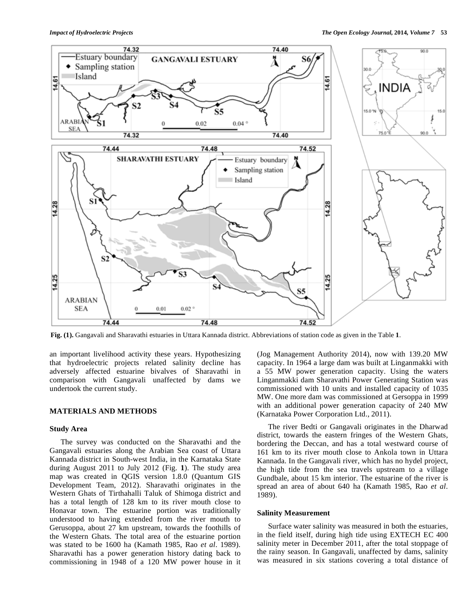**Fig. (1).** Gangavali and Sharavathi estuaries in Uttara Kannada district. Abbreviations of station code as given in the Table **1**.

an important livelihood activity these years. Hypothesizing that hydroelectric projects related salinity decline has adversely affected estuarine bivalves of Sharavathi in comparison with Gangavali unaffected by dams we undertook the current study.

# **MATERIALS AND METHODS**

### **Study Area**

 The survey was conducted on the Sharavathi and the Gangavali estuaries along the Arabian Sea coast of Uttara Kannada district in South-west India, in the Karnataka State during August 2011 to July 2012 (Fig. **1**). The study area map was created in QGIS version 1.8.0 (Quantum GIS Development Team, 2012). Sharavathi originates in the Western Ghats of Tirthahalli Taluk of Shimoga district and has a total length of 128 km to its river mouth close to Honavar town. The estuarine portion was traditionally understood to having extended from the river mouth to Gerusoppa, about 27 km upstream, towards the foothills of the Western Ghats. The total area of the estuarine portion was stated to be 1600 ha (Kamath 1985, Rao *et al*. 1989). Sharavathi has a power generation history dating back to commissioning in 1948 of a 120 MW power house in it (Jog Management Authority 2014), now with 139.20 MW capacity. In 1964 a large dam was built at Linganmakki with a 55 MW power generation capacity. Using the waters Linganmakki dam Sharavathi Power Generating Station was commissioned with 10 units and installed capacity of 1035 MW. One more dam was commissioned at Gersoppa in 1999 with an additional power generation capacity of 240 MW (Karnataka Power Corporation Ltd., 2011).

 The river Bedti or Gangavali originates in the Dharwad district, towards the eastern fringes of the Western Ghats, bordering the Deccan, and has a total westward course of 161 km to its river mouth close to Ankola town in Uttara Kannada. In the Gangavali river, which has no hydel project, the high tide from the sea travels upstream to a village Gundbale, about 15 km interior. The estuarine of the river is spread an area of about 640 ha (Kamath 1985, Rao *et al*. 1989).

#### **Salinity Measurement**

 Surface water salinity was measured in both the estuaries, in the field itself, during high tide using EXTECH EC 400 salinity meter in December 2011, after the total stoppage of the rainy season. In Gangavali, unaffected by dams, salinity was measured in six stations covering a total distance of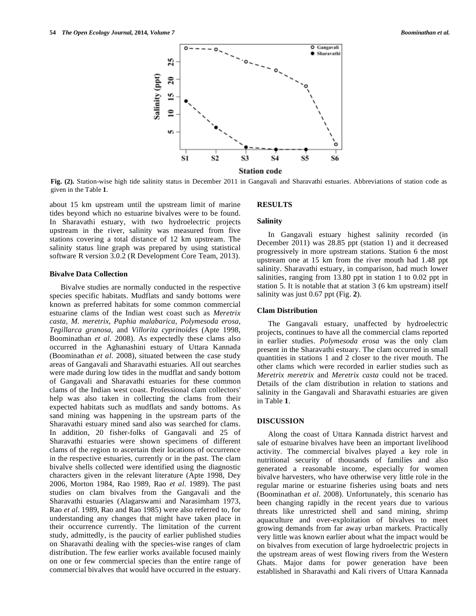

**Fig. (2).** Station-wise high tide salinity status in December 2011 in Gangavali and Sharavathi estuaries. Abbreviations of station code as given in the Table **1**.

about 15 km upstream until the upstream limit of marine tides beyond which no estuarine bivalves were to be found. In Sharavathi estuary, with two hydroelectric projects upstream in the river, salinity was measured from five stations covering a total distance of 12 km upstream. The salinity status line graph was prepared by using statistical software R version 3.0.2 (R Development Core Team, 2013).

## **Bivalve Data Collection**

 Bivalve studies are normally conducted in the respective species specific habitats. Mudflats and sandy bottoms were known as preferred habitats for some common commercial estuarine clams of the Indian west coast such as *Meretrix casta, M. meretrix, Paphia malabarica, Polymesoda erosa, Tegillarca granosa*, and *Villorita cyprinoides* (Apte 1998, Boominathan *et al*. 2008). As expectedly these clams also occurred in the Aghanashini estuary of Uttara Kannada (Boominathan *et al*. 2008), situated between the case study areas of Gangavali and Sharavathi estuaries. All out searches were made during low tides in the mudflat and sandy bottom of Gangavali and Sharavathi estuaries for these common clams of the Indian west coast. Professional clam collectors' help was also taken in collecting the clams from their expected habitats such as mudflats and sandy bottoms. As sand mining was happening in the upstream parts of the Sharavathi estuary mined sand also was searched for clams. In addition, 20 fisher-folks of Gangavali and 25 of Sharavathi estuaries were shown specimens of different clams of the region to ascertain their locations of occurrence in the respective estuaries, currently or in the past. The clam bivalve shells collected were identified using the diagnostic characters given in the relevant literature (Apte 1998, Dey 2006, Morton 1984, Rao 1989, Rao *et al*. 1989). The past studies on clam bivalves from the Gangavali and the Sharavathi estuaries (Alagarswami and Narasimham 1973, Rao *et al*. 1989, Rao and Rao 1985) were also referred to, for understanding any changes that might have taken place in their occurrence currently. The limitation of the current study, admittedly, is the paucity of earlier published studies on Sharavathi dealing with the species-wise ranges of clam distribution. The few earlier works available focused mainly on one or few commercial species than the entire range of commercial bivalves that would have occurred in the estuary.

#### **RESULTS**

#### **Salinity**

 In Gangavali estuary highest salinity recorded (in December 2011) was 28.85 ppt (station 1) and it decreased progressively in more upstream stations. Station 6 the most upstream one at 15 km from the river mouth had 1.48 ppt salinity. Sharavathi estuary, in comparison, had much lower salinities, ranging from 13.80 ppt in station 1 to 0.02 ppt in station 5. It is notable that at station 3 (6 km upstream) itself salinity was just 0.67 ppt (Fig. **2**).

## **Clam Distribution**

 The Gangavali estuary, unaffected by hydroelectric projects, continues to have all the commercial clams reported in earlier studies. *Polymesoda erosa* was the only clam present in the Sharavathi estuary. The clam occurred in small quantities in stations 1 and 2 closer to the river mouth. The other clams which were recorded in earlier studies such as *Meretrix meretrix* and *Meretrix casta* could not be traced. Details of the clam distribution in relation to stations and salinity in the Gangavali and Sharavathi estuaries are given in Table **1**.

#### **DISCUSSION**

 Along the coast of Uttara Kannada district harvest and sale of estuarine bivalves have been an important livelihood activity. The commercial bivalves played a key role in nutritional security of thousands of families and also generated a reasonable income, especially for women bivalve harvesters, who have otherwise very little role in the regular marine or estuarine fisheries using boats and nets (Boominathan *et al*. 2008). Unfortunately, this scenario has been changing rapidly in the recent years due to various threats like unrestricted shell and sand mining, shrimp aquaculture and over-exploitation of bivalves to meet growing demands from far away urban markets. Practically very little was known earlier about what the impact would be on bivalves from execution of large hydroelectric projects in the upstream areas of west flowing rivers from the Western Ghats. Major dams for power generation have been established in Sharavathi and Kali rivers of Uttara Kannada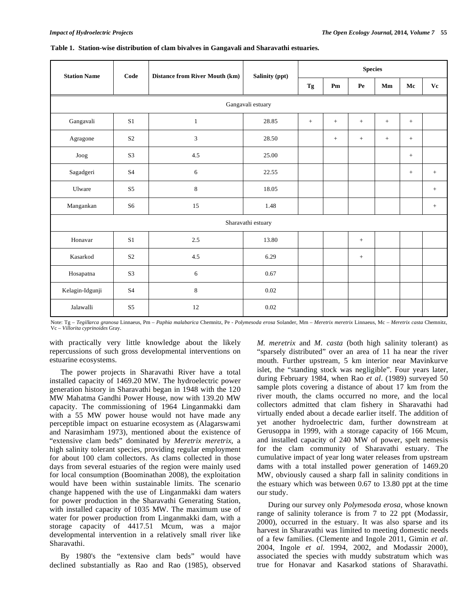| <b>Station Name</b>             | Code           | <b>Distance from River Mouth (km)</b> | Salinity (ppt) | $\label{eq:species} \textbf{Species}$ |     |        |     |     |        |
|---------------------------------|----------------|---------------------------------------|----------------|---------------------------------------|-----|--------|-----|-----|--------|
|                                 |                |                                       |                | Tg                                    | Pm  | Pe     | Mm  | Mc  | Vc     |
| Gangavali estuary               |                |                                       |                |                                       |     |        |     |     |        |
| Gangavali                       | S <sub>1</sub> | $\mathbf{1}$                          | 28.85          | $+$                                   | $+$ | $+$    | $+$ | $+$ |        |
| Agragone                        | S <sub>2</sub> | 3                                     | 28.50          |                                       | $+$ | $^{+}$ | $+$ | $+$ |        |
| $_{\mathrm{Joog}}$              | S <sub>3</sub> | 4.5                                   | 25.00          |                                       |     |        |     | $+$ |        |
| Sagadgeri                       | <b>S4</b>      | 6                                     | 22.55          |                                       |     |        |     | $+$ | $+$    |
| Ulware                          | S <sub>5</sub> | 8                                     | 18.05          |                                       |     |        |     |     | $\, +$ |
| Mangankan                       | S <sub>6</sub> | 15                                    | 1.48           |                                       |     |        |     |     | $\! +$ |
| Sharavathi estuary              |                |                                       |                |                                       |     |        |     |     |        |
| Honavar                         | S <sub>1</sub> | 2.5                                   | 13.80          |                                       |     | $+$    |     |     |        |
| Kasarkod                        | S <sub>2</sub> | 4.5                                   | 6.29           |                                       |     | $^{+}$ |     |     |        |
| Hosapatna                       | S <sub>3</sub> | 6                                     | 0.67           |                                       |     |        |     |     |        |
| $\operatorname{Kelagin-Hgunji}$ | <b>S4</b>      | $\,8\,$                               | 0.02           |                                       |     |        |     |     |        |
| Jalawalli                       | S <sub>5</sub> | 12                                    | 0.02           |                                       |     |        |     |     |        |

#### **Table 1. Station-wise distribution of clam bivalves in Gangavali and Sharavathi estuaries.**

Note: Tg – *Tegillarca granosa* Linnaeus, Pm – *Paphia malabarica* Chemnitz, Pe - *Polymesoda erosa* Solander, Mm – *Meretrix meretrix* Linnaeus, Mc – *Meretrix casta* Chemnitz, Vc – *Villorita cyprinoides* Gray.

with practically very little knowledge about the likely repercussions of such gross developmental interventions on estuarine ecosystems.

 The power projects in Sharavathi River have a total installed capacity of 1469.20 MW. The hydroelectric power generation history in Sharavathi began in 1948 with the 120 MW Mahatma Gandhi Power House, now with 139.20 MW capacity. The commissioning of 1964 Linganmakki dam with a 55 MW power house would not have made any perceptible impact on estuarine ecosystem as (Alagarswami and Narasimham 1973), mentioned about the existence of "extensive clam beds" dominated by *Meretrix meretrix*, a high salinity tolerant species, providing regular employment for about 100 clam collectors. As clams collected in those days from several estuaries of the region were mainly used for local consumption (Boominathan 2008), the exploitation would have been within sustainable limits. The scenario change happened with the use of Linganmakki dam waters for power production in the Sharavathi Generating Station, with installed capacity of 1035 MW. The maximum use of water for power production from Linganmakki dam, with a storage capacity of 4417.51 Mcum, was a major developmental intervention in a relatively small river like Sharavathi.

 By 1980's the "extensive clam beds" would have declined substantially as Rao and Rao (1985), observed *M. meretrix* and *M. casta* (both high salinity tolerant) as "sparsely distributed" over an area of 11 ha near the river mouth. Further upstream, 5 km interior near Mavinkurve islet, the "standing stock was negligible". Four years later, during February 1984, when Rao *et al*. (1989) surveyed 50 sample plots covering a distance of about 17 km from the river mouth, the clams occurred no more, and the local collectors admitted that clam fishery in Sharavathi had virtually ended about a decade earlier itself. The addition of yet another hydroelectric dam, further downstream at Gerusoppa in 1999, with a storage capacity of 166 Mcum, and installed capacity of 240 MW of power, spelt nemesis for the clam community of Sharavathi estuary. The cumulative impact of year long water releases from upstream dams with a total installed power generation of 1469.20 MW, obviously caused a sharp fall in salinity conditions in the estuary which was between 0.67 to 13.80 ppt at the time our study.

 During our survey only *Polymesoda erosa*, whose known range of salinity tolerance is from 7 to 22 ppt (Modassir, 2000), occurred in the estuary. It was also sparse and its harvest in Sharavathi was limited to meeting domestic needs of a few families. (Clemente and Ingole 2011, Gimin *et al*. 2004, Ingole *et al*. 1994, 2002, and Modassir 2000), associated the species with muddy substratum which was true for Honavar and Kasarkod stations of Sharavathi.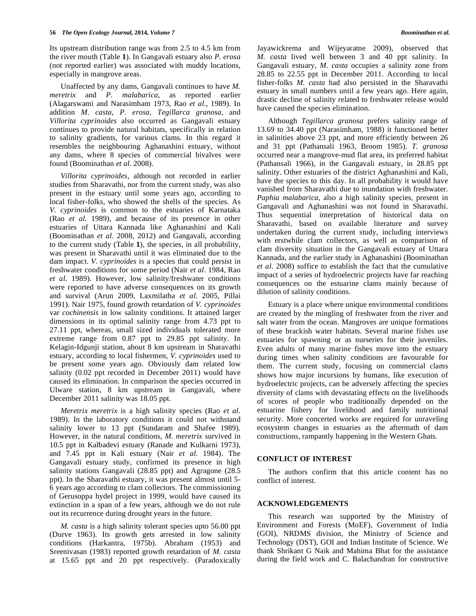Its upstream distribution range was from 2.5 to 4.5 km from the river mouth (Table **1**). In Gangavali estuary also *P. erosa* (not reported earlier) was associated with muddy locations, especially in mangrove areas.

 Unaffected by any dams, Gangavali continues to have *M. meretrix* and *P. malabarica*, as reported earlier (Alagarswami and Narasimham 1973, Rao *et al*., 1989). In addition *M. casta, P. erosa, Tegillarca granosa,* and *Villorita cyprinoides* also occurred as Gangavali estuary continues to provide natural habitats, specifically in relation to salinity gradients, for various clams. In this regard it resembles the neighbouring Aghanashini estuary, without any dams, where 8 species of commercial bivalves were found (Boominathan *et al*. 2008).

 *Villorita cyprinoides*, although not recorded in earlier studies from Sharavathi, nor from the current study, was also present in the estuary until some years ago, according to local fisher-folks, who showed the shells of the species. As *V. cyprinoides* is common to the estuaries of Karnataka (Rao *et al*. 1989), and because of its presence in other estuaries of Uttara Kannada like Aghanashini and Kali (Boominathan *et al*. 2008, 2012) and Gangavali, according to the current study (Table **1**), the species, in all probability, was present in Sharavathi until it was eliminated due to the dam impact. *V. cyprinoides* is a species that could persist in freshwater conditions for some period (Nair *et al*. 1984, Rao *et al*. 1989). However, low salinity/freshwater conditions were reported to have adverse consequences on its growth and survival (Arun 2009, Laxmilatha *et al*. 2005, Pillai 1991). Nair 1975, found growth retardation of *V. cyprinoides* var *cochinensis* in low salinity conditions. It attained larger dimensions in its optimal salinity range from 4.73 ppt to 27.11 ppt, whereas, small sized individuals tolerated more extreme range from 0.87 ppt to 29.85 ppt salinity. In Kelagin-Idgunji station, about 8 km upstream in Sharavathi estuary, according to local fishermen, *V. cyprinoides* used to be present some years ago. Obviously dam related low salinity (0.02 ppt recorded in December 2011) would have caused its elimination. In comparison the species occurred in Ulware station, 8 km upstream in Gangavali, where December 2011 salinity was 18.05 ppt.

 *Meretrix meretrix* is a high salinity species (Rao *et al*. 1989). In the laboratory conditions it could not withstand salinity lower to 13 ppt (Sundaram and Shafee 1989). However, in the natural conditions, *M. meretrix* survived in 10.5 ppt in Kalbadevi estuary (Ranade and Kulkarni 1973), and 7.45 ppt in Kali estuary (Nair *et al*. 1984). The Gangavali estuary study, confirmed its presence in high salinity stations Gangavali (28.85 ppt) and Agragone (28.5 ppt). In the Sharavathi estuary, it was present almost until 5- 6 years ago according to clam collectors. The commissioning of Gerusoppa hydel project in 1999, would have caused its extinction in a span of a few years, although we do not rule out its recurrence during drought years in the future.

 *M. casta* is a high salinity tolerant species upto 56.00 ppt (Durve 1963). Its growth gets arrested in low salinity conditions (Harkantra, 1975b). Abraham (1953) and Sreenivasan (1983) reported growth retardation of *M. casta* at 15.65 ppt and 20 ppt respectively. (Paradoxically Jayawickrema and Wijeyaratne 2009), observed that *M. casta* lived well between 3 and 40 ppt salinity. In Gangavali estuary, *M. casta* occupies a salinity zone from 28.85 to 22.55 ppt in December 2011. According to local fisher-folks *M. casta* had also persisted in the Sharavathi estuary in small numbers until a few years ago. Here again, drastic decline of salinity related to freshwater release would have caused the species elimination.

 Although *Tegillarca granosa* prefers salinity range of 13.69 to 34.40 ppt (Narasimham, 1988) it functioned better in salinities above 23 ppt, and more efficiently between 26 and 31 ppt (Pathansali 1963, Broom 1985). *T. granosa* occurred near a mangrove-mud flat area, its preferred habitat (Pathansali 1966), in the Gangavali estuary, in 28.85 ppt salinity. Other estuaries of the district Aghanashini and Kali, have the species to this day. In all probability it would have vanished from Sharavathi due to inundation with freshwater. *Paphia malabarica*, also a high salinity species, present in Gangavali and Aghanashini was not found in Sharavathi. Thus sequential interpretation of historical data on Sharavathi, based on available literature and survey undertaken during the current study, including interviews with erstwhile clam collectors, as well as comparison of clam diversity situation in the Gangavali estuary of Uttara Kannada, and the earlier study in Aghanashini (Boominathan *et al*. 2008) suffice to establish the fact that the cumulative impact of a series of hydroelectric projects have far reaching consequences on the estuarine clams mainly because of dilution of salinity conditions.

 Estuary is a place where unique environmental conditions are created by the mingling of freshwater from the river and salt water from the ocean. Mangroves are unique formations of these brackish water habitats. Several marine fishes use estuaries for spawning or as nurseries for their juveniles. Even adults of many marine fishes move into the estuary during times when salinity conditions are favourable for them. The current study, focusing on commercial clams shows how major incursions by humans, like execution of hydroelectric projects, can be adversely affecting the species diversity of clams with devastating effects on the livelihoods of scores of people who traditionally depended on the estuarine fishery for livelihood and family nutritional security. More concerted works are required for unraveling ecosystem changes in estuaries as the aftermath of dam constructions, rampantly happening in the Western Ghats.

## **CONFLICT OF INTEREST**

 The authors confirm that this article content has no conflict of interest.

## **ACKNOWLEDGEMENTS**

 This research was supported by the Ministry of Environment and Forests (MoEF), Government of India (GOI), NRDMS division, the Ministry of Science and Technology (DST), GOI and Indian Institute of Science. We thank Shrikant G Naik and Mahima Bhat for the assistance during the field work and C. Balachandran for constructive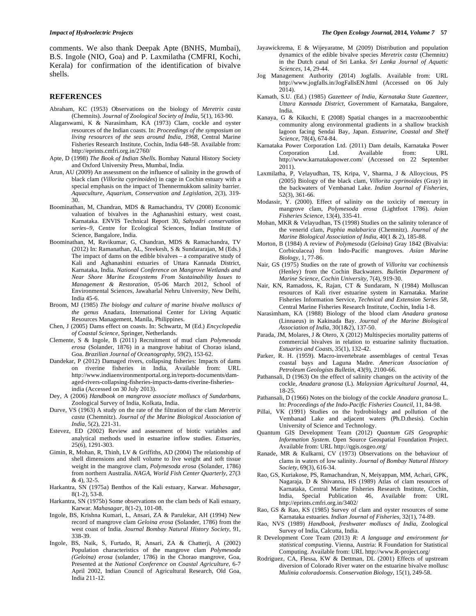comments. We also thank Deepak Apte (BNHS, Mumbai), B.S. Ingole (NIO, Goa) and P. Laxmilatha (CMFRI, Kochi, Kerala) for confirmation of the identification of bivalve shells.

#### **REFERENCES**

- Abraham, KC (1953) Observations on the biology of *Meretrix casta* (Chemnits). *Journal of Zoological Society of India*, 5(1), 163-90.
- Alagarswami, K & Narasimham, KA (1973) Clam, cockle and oyster resources of the Indian coasts. In: *Proceedings of the symposium on living resources of the seas around India, 1968,* Central Marine Fisheries Research Institute, Cochin, India 648–58. Available from: http://eprints.cmfri.org.in/2760/
- Apte, D (1998) *The Book of Indian Shells*. Bombay Natural History Society and Oxford University Press, Mumbai, India.
- Arun, AU (2009) An assessment on the influence of salinity in the growth of black clam (*Villorita cyprinoides*) in cage in Cochin estuary with a special emphasis on the impact of Thennermukkom salinity barrier. *Aquaculture, Aquarium, Conservation and Legislation*, 2(3), 319- 30.
- Boominathan, M, Chandran, MDS & Ramachandra, TV (2008) Economic valuation of bivalves in the Aghanashini estuary, west coast, Karnataka. ENVIS Technical Report 30, *Sahyadri conservation series–9*, Centre for Ecological Sciences, Indian Institute of Science, Bangalore, India.
- Boominathan, M, Ravikumar, G, Chandran, MDS & Ramachandra, TV (2012) In: Ramanathan, AL, Sreekesh, S & Sundararajan, M (Eds.) The impact of dams on the edible bivalves – a comparative study of Kali and Aghanashini estuaries of Uttara Kannada District, Karnataka, India*. National Conference on Mangrove Wetlands and Near Shore Marine Ecosystems From Sustainability Issues to Management & Restoration*, 05-06 March 2012, School of Environmental Sciences, Jawaharlal Nehru University, New Delhi, India 45-6.
- Broom, MJ (1985) *The biology and culture of marine bivalve molluscs of the genus* Anadara, International Center for Living Aquatic Resources Management, Manila, Philippines.
- Chen, J (2005) Dams effect on coasts. In: Schwartz, M (Ed.) *Encyclopedia of Coastal Science,* Springer, Netherlands.
- Clemente, S & Ingole, B (2011) Recruitment of mud clam *Polymesoda erosa* (Solander, 1876) in a mangrove habitat of Chorao island, Goa. *Brazilian Journal of Oceanography*, 59(2), 153-62.
- Dandekar, P (2012) Damaged rivers, collapsing fisheries: Impacts of dams on riverine fisheries in India, Available from: URL http://www.indiaenvironmentportal.org.in/reports-documents/damaged-rivers-collapsing-fisheries-impacts-dams-riverine-fisheriesindia (Accessed on 30 July 2013).
- Dey, A (2006) *Handbook on mangrove associate molluscs of Sundarbans,* Zoological Survey of India, Kolkata, India.
- Durve, VS (1963) A study on the rate of the filtration of the clam *Meretrix casta* (Chemnitz). *Journal of the Marine Biological Association of India*, 5(2), 221-31.
- Estevez, ED (2002) Review and assessment of biotic variables and analytical methods used in estuarine inflow studies. *Estuaries*, 25(6), 1291-303.
- Gimin, R, Mohan, R, Thinh, LV & Griffiths, AD (2004) The relationship of shell dimensions and shell volume to live weight and soft tissue weight in the mangrove clam, *Polymesoda erosa* (Solander, 1786) from northern Australia. *NAGA, World Fish Center Quarterly*, 27(3 & 4), 32-5.
- Harkantra, SN (1975a) Benthos of the Kali estuary, Karwar. *Mahasagar*, 8(1-2), 53-8.
- Harkantra, SN (1975b) Some observations on the clam beds of Kali estuary, Karwar. *Mahasagar*, 8(1-2), 101-08.
- Ingole, BS, Krishna Kumari, L, Ansari, ZA & Parulekar, AH (1994) New record of mangrove clam *Geloina erosa* (Solander, 1786) from the west coast of India. *Journal Bombay Natural History Society*, 91, 338-39.
- Ingole, BS, Naik, S, Furtado, R, Ansari, ZA & Chatterji, A (2002) Population characteristics of the mangrove clam *Polymesoda (Geloina) erosa* (solander, 1786) in the Chorao mangrove, Goa, Presented at the *National Conference on Coastal Agriculture*, 6-7 April 2002, Indian Council of Agricultural Research, Old Goa, India 211-12.
- Jayawickrema, E & Wijeyaratne, M (2009) Distribution and population dynamics of the edible bivalve species *Meretrix casta* (Chemnitz) in the Dutch canal of Sri Lanka. *Sri Lanka Journal of Aquatic Sciences*, 14, 29-44.
- Jog Management Authority (2014) Jogfalls. Available from: URL http://www.jogfalls.in/JogFallsEN.html (Accessed on 06 July 2014).
- Kamath, S.U. (Ed.) (1985) *Gazetteer of India, Karnataka State Gazetteer, Uttara Kannada District,* Government of Karnataka, Bangalore, India.
- Kanaya, G & Kikuchi, E (2008) Spatial changes in a macrozoobenthic community along environmental gradients in a shallow brackish lagoon facing Sendai Bay, Japan. *Estuarine, Coastal and Shelf Science*, 78(4), 674-84.
- Karnataka Power Corporation Ltd. (2011) Dam details, Karnataka Power Corporation Ltd. Available from: URL http://www.karnatakapower.com/ (Accessed on 22 September  $2011$ ).
- Laxmilatha, P, Velayudhan, TS, Kripa, V, Sharma, J & Alloycious, PS (2005) Biology of the black clam, *Villorita cyprinoides* (Gray) in the backwaters of Vembanad Lake. *Indian Journal of Fisheries*, 52(3), 361-66.
- Modassir, Y. (2000). Effect of salinity on the toxicity of mercury in mangrove clam, *Polymesoda erosa* (Lightfoot 1786). *Asian Fisheries Science*, 13(4), 335-41.
- Mohan, MKR & Velayudhan, TS (1998) Studies on the salinity tolerance of the venerid clam, *Paphia malabarica* (Chemnitz). *Journal of the Marine Biological Association of India*, 40(1 & 2), 185-88.
- Morton, B (1984) A review of *Polymesoda* (*Geloina*) Gray 1842 (Bivalvia: Corbiculacea) from Indo-Pacific mangroves. *Asian Marine Biology*, 1, 77-86.
- Nair, GS (1975) Studies on the rate of growth of *Villorita* var *cochinensis* (Henley) from the Cochin Backwaters. *Bulletin Department of Marine Science, Cochin University*, 7(4), 919-30.
- Nair, KN, Ramadoss, K, Rajan, CT & Sundaram, N (1984) Molluscan resources of Kali river estuarine system in Karnataka. Marine Fisheries Information Service, *Technical and Extension Series 58*, Central Marine Fisheries Research Institute, Cochin, India 1-8.
- Narasimham, KA (1988) Biology of the blood clam *Anadara granosa* (Linnaeus) in Kakinada Bay. *Journal of the Marine Biological Association of India*, 30(1&2), 137-50.
- Parada, JM, Molares, J & Otero, X (2012) Multispecies mortality patterns of commercial bivalves in relation to estuarine salinity fluctuation. *Estuaries and Coasts*, 35(1), 132-42.
- Parker, R. H. (1959). Macro-invertebrate assemblages of central Texas coastal bays and Laguna Madre. *American Association of Petroleum Geologists Bulletin*, 43(9), 2100-66.
- Pathansali, D (1963) On the effect of salinity changes on the activity of the cockle, *Anadara granosa* (L). *Malaysian Agricultural Journal*, 44, 18-25.
- Pathansali, D (1966) Notes on the biology of the cockle *Anadara granosa* L. In: *Proceedings of the Indo-Pacific Fisheries Council,* 11, 84-98.
- Pillai, VK (1991) Studies on the hydrobiology and pollution of the Vembanad Lake and adjacent waters (Ph.D.thesis). Cochin University of Science and Technology.
- Quantum GIS Development Team (2012) *Quantum GIS Geographic Information System*. Open Source Geospatial Foundation Project. Available from: URL http://qgis.osgeo.org/
- Ranade, MR & Kulkarni, CV (1973) Observations on the behaviour of clams in waters of low salinity. *Journal of Bombay Natural History Society*, 69(3), 616-34.
- Rao, GS, Kuriakose, PS, Ramachandran, N, Meiyappan, MM, Achari, GPK, Nagaraja, D & Shivanna, HS (1989) Atlas of clam resources of Karnataka, Central Marine Fisheries Research Institute, Cochin, 46, Available from: URL http://eprints.cmfri.org.in/3402/
- Rao, GS & Rao, KS (1985) Survey of clam and oyster resources of some Karnataka estuaries. *Indian Journal of Fisheries*, 32(1), 74-89.
- Rao, NVS (1989) *Handbook, freshwater molluscs of India*, Zoological Survey of India, Calcutta, India.
- R Development Core Team (2013) *R: A language and environment for statistical computing*. Vienna, Austria: R Foundation for Statistical Computing. Available from: URL http://www.R-project.org/
- Rodriguez, CA, Flessa, KW & Dettman, DL (2001) Effects of upstream diversion of Colorado River water on the estuarine bivalve mollusc *Mulinia coloradoensis*. *Conservation Biology*, 15(1), 249-58.